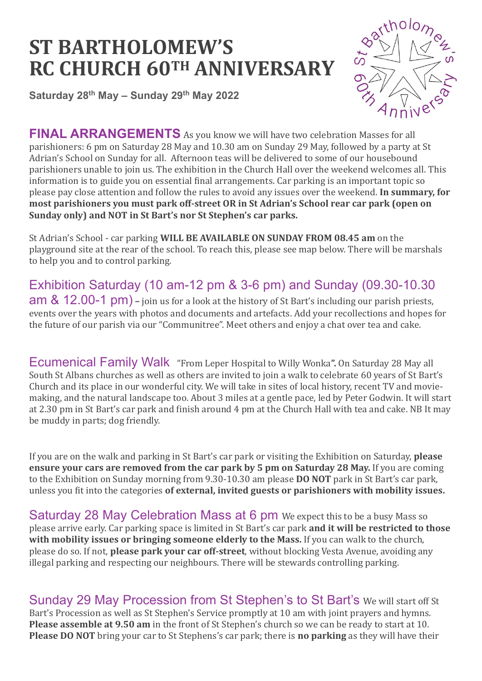## **ST BARTHOLOMEW'S RC CHURCH 60TH ANNIVERSARY**

**Saturday 28th May – Sunday 29th May 2022** 



**FINAL ARRANGEMENTS** As you know we will have two celebration Masses for all parishioners: 6 pm on Saturday 28 May and 10.30 am on Sunday 29 May, followed by a party at St Adrian's School on Sunday for all. Afternoon teas will be delivered to some of our housebound parishioners unable to join us. The exhibition in the Church Hall over the weekend welcomes all. This information is to guide you on essential final arrangements. Car parking is an important topic so please pay close attention and follow the rules to avoid any issues over the weekend. **In summary, for most parishioners you must park off-street OR in St Adrian's School rear car park (open on Sunday only) and NOT in St Bart's nor St Stephen's car parks.** 

St Adrian's School - car parking **WILL BE AVAILABLE ON SUNDAY FROM 08.45 am** on the playground site at the rear of the school. To reach this, please see map below. There will be marshals to help you and to control parking.

Exhibition Saturday (10 am-12 pm & 3-6 pm) and Sunday (09.30-10.30 am & 12.00-1 pm) **–** join us for a look at the history of St Bart's including our parish priests, events over the years with photos and documents and artefacts. Add your recollections and hopes for the future of our parish via our "Communitree". Meet others and enjoy a chat over tea and cake.

Ecumenical Family Walk "From Leper Hospital to Willy Wonka**".** On Saturday 28 May all South St Albans churches as well as others are invited to join a walk to celebrate 60 years of St Bart's Church and its place in our wonderful city. We will take in sites of local history, recent TV and moviemaking, and the natural landscape too. About 3 miles at a gentle pace, led by Peter Godwin. It will start at 2.30 pm in St Bart's car park and finish around 4 pm at the Church Hall with tea and cake. NB It may be muddy in parts; dog friendly.

If you are on the walk and parking in St Bart's car park or visiting the Exhibition on Saturday, **please ensure your cars are removed from the car park by 5 pm on Saturday 28 May.** If you are coming to the Exhibition on Sunday morning from 9.30-10.30 am please **DO NOT** park in St Bart's car park, unless you fit into the categories **of external, invited guests or parishioners with mobility issues.**

Saturday 28 May Celebration Mass at 6 pm We expect this to be a busy Mass so please arrive early. Car parking space is limited in St Bart's car park **and it will be restricted to those with mobility issues or bringing someone elderly to the Mass.** If you can walk to the church, please do so. If not, **please park your car off-street**, without blocking Vesta Avenue, avoiding any illegal parking and respecting our neighbours. There will be stewards controlling parking.

Sunday 29 May Procession from St Stephen's to St Bart's We will start off St Bart's Procession as well as St Stephen's Service promptly at 10 am with joint prayers and hymns. **Please assemble at 9.50 am** in the front of St Stephen's church so we can be ready to start at 10. **Please DO NOT** bring your car to St Stephens's car park; there is **no parking** as they will have their